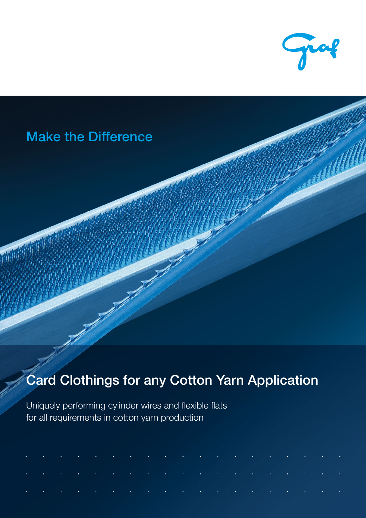

# Make the Difference

# Card Clothings for any Cotton Yarn Application

Uniquely performing cylinder wires and flexible flats for all requirements in cotton yarn production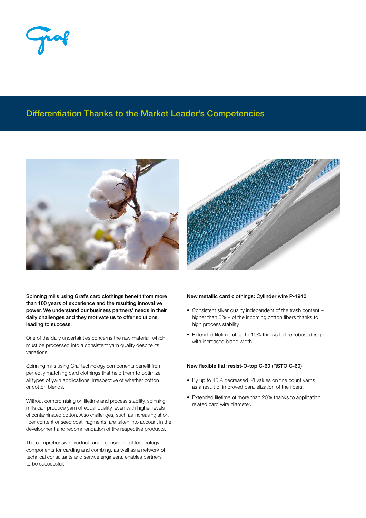## Differentiation Thanks to the Market Leader's Competencies





One of the daily uncertainties concerns the raw material, which must be processed into a consistent yarn quality despite its variations.

Spinning mills using Graf technology components benefit from perfectly matching card clothings that help them to optimize all types of yarn applications, irrespective of whether cotton or cotton blends.

Without compromising on lifetime and process stability, spinning mills can produce yarn of equal quality, even with higher levels of contaminated cotton. Also challenges, such as increasing short fiber content or seed coat fragments, are taken into account in the development and recommendation of the respective products.

The comprehensive product range consisting of technology components for carding and combing, as well as a network of technical consultants and service engineers, enables partners to be successful.



## New metallic card clothings: Cylinder wire P-1940

- Consistent sliver quality independent of the trash content higher than 5% – of the incoming cotton fibers thanks to high process stability.
- Extended lifetime of up to 10% thanks to the robust design with increased blade width.

## New flexible flat: resist-O-top C-60 (RSTO C-60)

- By up to 15% decreased IPI values on fine count yarns as a result of improved parallelization of the fibers.
- Extended lifetime of more than 20% thanks to application related card wire diameter.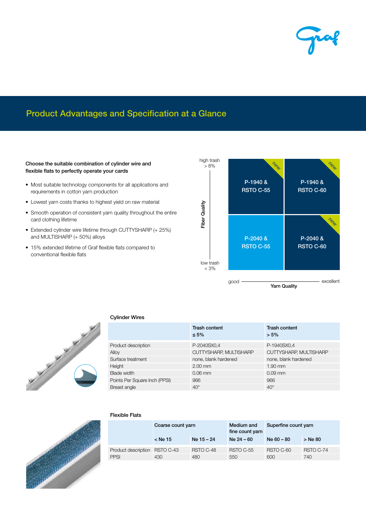# Product Advantages and Specification at a Glance

Choose the suitable combination of cylinder wire and flexible flats to perfectly operate your cards

- Most suitable technology components for all applications and requirements in cotton yarn production
- Lowest yarn costs thanks to highest yield on raw material
- Smooth operation of consistent yarn quality throughout the entire card clothing lifetime
- Extended cylinder wire lifetime through CUTTYSHARP (+ 25%) and MULTISHARP (+ 50%) alloys
- 15% extended lifetime of Graf flexible flats compared to conventional flexible flats





### Cylinder Wires

|                               | <b>Trash content</b><br>$\leq 5\%$ | <b>Trash content</b><br>$> 5\%$ |
|-------------------------------|------------------------------------|---------------------------------|
| Product description           | P-2040SX0,4                        | P-1940SX0,4                     |
| Alloy                         | CUTTYSHARP, MULTISHARP             | CUTTYSHARP, MULTISHARP          |
| Surface treatment             | none, blank hardened               | none, blank hardened            |
| Height                        | $2.00$ mm                          | $1.90$ mm                       |
| <b>Blade width</b>            | $0.06$ mm                          | $0.09$ mm                       |
| Points Per Square Inch (PPSI) | 966                                | 966                             |
| Breast angle                  | $40^\circ$                         | $40^{\circ}$                    |



## Flexible Flats

|                               | Coarse count yarn |              | Medium and<br>fine count yarn | Superfine count yarn |           |
|-------------------------------|-------------------|--------------|-------------------------------|----------------------|-----------|
|                               | $<$ Ne 15         | $Ne$ 15 – 24 | $Ne 24 - 60$                  | $Ne 60 - 80$         | > Ne 80   |
| Product description RSTO C-43 |                   | RSTO C-48    | RSTO C-55                     | RSTO C-60            | RSTO C-74 |
| <b>PPSI</b>                   | 430               | 480          | 550                           | 600                  | 740       |